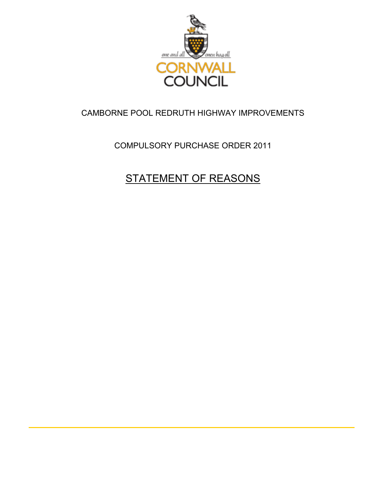

### CAMBORNE POOL REDRUTH HIGHWAY IMPROVEMENTS

### COMPULSORY PURCHASE ORDER 2011

# STATEMENT OF REASONS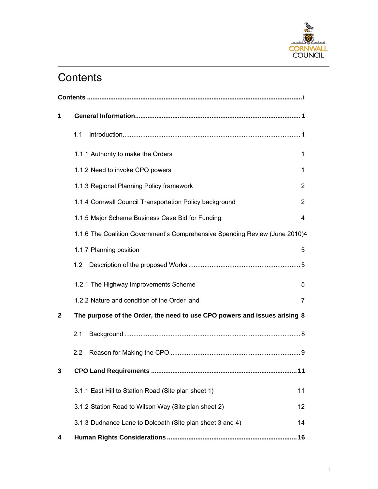

# **Contents**

| 1 |                                                                             |                |  |  |
|---|-----------------------------------------------------------------------------|----------------|--|--|
|   | 1.1                                                                         |                |  |  |
|   | 1.1.1 Authority to make the Orders                                          | 1              |  |  |
|   | 1.1.2 Need to invoke CPO powers                                             | 1              |  |  |
|   | 1.1.3 Regional Planning Policy framework                                    | 2              |  |  |
|   | 1.1.4 Cornwall Council Transportation Policy background                     | $\overline{2}$ |  |  |
|   | 1.1.5 Major Scheme Business Case Bid for Funding                            | 4              |  |  |
|   | 1.1.6 The Coalition Government's Comprehensive Spending Review (June 2010)4 |                |  |  |
|   | 1.1.7 Planning position                                                     | 5              |  |  |
|   | 1.2                                                                         |                |  |  |
|   | 1.2.1 The Highway Improvements Scheme                                       | 5              |  |  |
|   | 1.2.2 Nature and condition of the Order land                                | 7              |  |  |
| 2 | The purpose of the Order, the need to use CPO powers and issues arising 8   |                |  |  |
|   | 2.1                                                                         |                |  |  |
|   | 2.2                                                                         |                |  |  |
| 3 |                                                                             |                |  |  |
|   | 3.1.1 East Hill to Station Road (Site plan sheet 1)                         | 11             |  |  |
|   | 3.1.2 Station Road to Wilson Way (Site plan sheet 2)                        | 12             |  |  |
|   | 3.1.3 Dudnance Lane to Dolcoath (Site plan sheet 3 and 4)                   | 14             |  |  |
| 4 |                                                                             |                |  |  |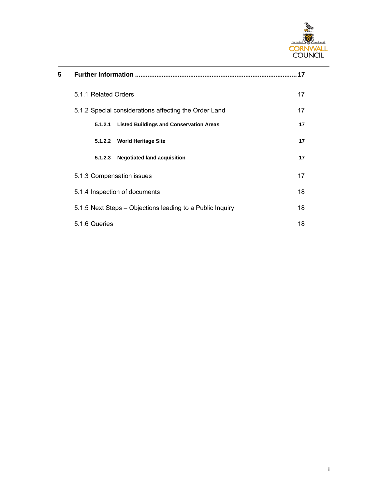

| 5 | Further Information                                       | .17 |  |
|---|-----------------------------------------------------------|-----|--|
|   | 5.1.1 Related Orders                                      | 17  |  |
|   | 5.1.2 Special considerations affecting the Order Land     | 17  |  |
|   | <b>Listed Buildings and Conservation Areas</b><br>5.1.2.1 | 17  |  |
|   | <b>World Heritage Site</b><br>5.1.2.2                     | 17  |  |
|   | <b>Negotiated land acquisition</b><br>5.1.2.3             | 17  |  |
|   | 5.1.3 Compensation issues                                 | 17  |  |
|   | 5.1.4 Inspection of documents                             | 18  |  |
|   | 5.1.5 Next Steps – Objections leading to a Public Inquiry | 18  |  |
|   | 5.1.6 Queries                                             | 18  |  |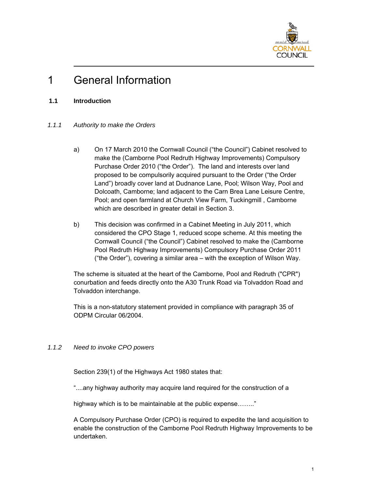

## 1 General Information

### **1.1 Introduction**

### *1.1.1 Authority to make the Orders*

- a) On 17 March 2010 the Cornwall Council ("the Council") Cabinet resolved to make the (Camborne Pool Redruth Highway Improvements) Compulsory Purchase Order 2010 ("the Order"). The land and interests over land proposed to be compulsorily acquired pursuant to the Order ("the Order Land") broadly cover land at Dudnance Lane, Pool; Wilson Way, Pool and Dolcoath, Camborne; land adjacent to the Carn Brea Lane Leisure Centre, Pool; and open farmland at Church View Farm, Tuckingmill , Camborne which are described in greater detail in Section 3.
- b) This decision was confirmed in a Cabinet Meeting in July 2011, which considered the CPO Stage 1, reduced scope scheme. At this meeting the Cornwall Council ("the Council") Cabinet resolved to make the (Camborne Pool Redruth Highway Improvements) Compulsory Purchase Order 2011 ("the Order"), covering a similar area – with the exception of Wilson Way.

The scheme is situated at the heart of the Camborne, Pool and Redruth ("CPR") conurbation and feeds directly onto the A30 Trunk Road via Tolvaddon Road and Tolvaddon interchange.

This is a non-statutory statement provided in compliance with paragraph 35 of ODPM Circular 06/2004.

### *1.1.2 Need to invoke CPO powers*

Section 239(1) of the Highways Act 1980 states that:

"....any highway authority may acquire land required for the construction of a

highway which is to be maintainable at the public expense........"

A Compulsory Purchase Order (CPO) is required to expedite the land acquisition to enable the construction of the Camborne Pool Redruth Highway Improvements to be undertaken.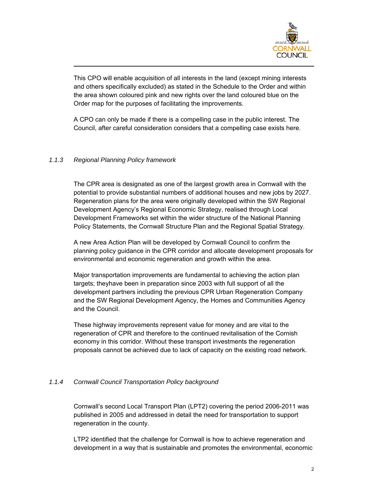

This CPO will enable acquisition of all interests in the land (except mining interests and others specifically excluded) as stated in the Schedule to the Order and within the area shown coloured pink and new rights over the land coloured blue on the Order map for the purposes of facilitating the improvements.

A CPO can only be made if there is a compelling case in the public interest. The Council, after careful consideration considers that a compelling case exists here.

### *1.1.3 Regional Planning Policy framework*

The CPR area is designated as one of the largest growth area in Cornwall with the potential to provide substantial numbers of additional houses and new jobs by 2027. Regeneration plans for the area were originally developed within the SW Regional Development Agency's Regional Economic Strategy, realised through Local Development Frameworks set within the wider structure of the National Planning Policy Statements, the Cornwall Structure Plan and the Regional Spatial Strategy.

A new Area Action Plan will be developed by Cornwall Council to confirm the planning policy guidance in the CPR corridor and allocate development proposals for environmental and economic regeneration and growth within the area.

Major transportation improvements are fundamental to achieving the action plan targets; theyhave been in preparation since 2003 with full support of all the development partners including the previous CPR Urban Regeneration Company and the SW Regional Development Agency, the Homes and Communities Agency and the Council.

These highway improvements represent value for money and are vital to the regeneration of CPR and therefore to the continued revitalisation of the Cornish economy in this corridor. Without these transport investments the regeneration proposals cannot be achieved due to lack of capacity on the existing road network.

### *1.1.4 Cornwall Council Transportation Policy background*

Cornwall's second Local Transport Plan (LPT2) covering the period 2006-2011 was published in 2005 and addressed in detail the need for transportation to support regeneration in the county.

LTP2 identified that the challenge for Cornwall is how to achieve regeneration and development in a way that is sustainable and promotes the environmental, economic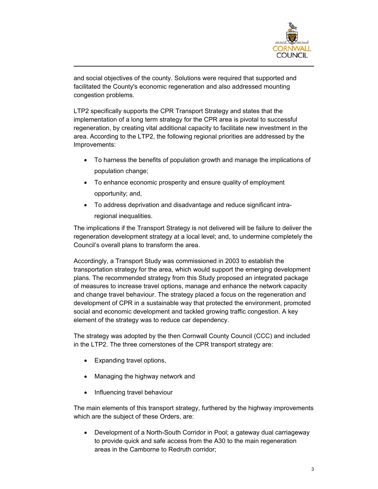

and social objectives of the county. Solutions were required that supported and facilitated the County's economic regeneration and also addressed mounting congestion problems.

LTP2 specifically supports the CPR Transport Strategy and states that the implementation of a long term strategy for the CPR area is pivotal to successful regeneration, by creating vital additional capacity to facilitate new investment in the area. According to the LTP2, the following regional priorities are addressed by the Improvements:

- To harness the benefits of population growth and manage the implications of population change;
- To enhance economic prosperity and ensure quality of employment opportunity; and,
- To address deprivation and disadvantage and reduce significant intraregional inequalities.

The implications if the Transport Strategy is not delivered will be failure to deliver the regeneration development strategy at a local level; and, to undermine completely the Council's overall plans to transform the area.

Accordingly, a Transport Study was commissioned in 2003 to establish the transportation strategy for the area, which would support the emerging development plans. The recommended strategy from this Study proposed an integrated package of measures to increase travel options, manage and enhance the network capacity and change travel behaviour. The strategy placed a focus on the regeneration and development of CPR in a sustainable way that protected the environment, promoted social and economic development and tackled growing traffic congestion. A key element of the strategy was to reduce car dependency.

The strategy was adopted by the then Cornwall County Council (CCC) and included in the LTP2. The three cornerstones of the CPR transport strategy are:

- Expanding travel options,
- Managing the highway network and
- Influencing travel behaviour

The main elements of this transport strategy, furthered by the highway improvements which are the subject of these Orders, are:

• Development of a North-South Corridor in Pool; a gateway dual carriageway to provide quick and safe access from the A30 to the main regeneration areas in the Camborne to Redruth corridor;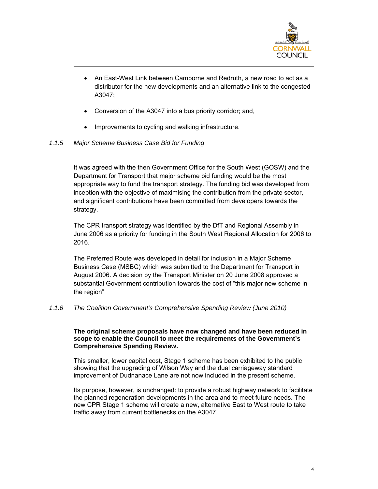

- An East-West Link between Camborne and Redruth, a new road to act as a distributor for the new developments and an alternative link to the congested A3047;
- Conversion of the A3047 into a bus priority corridor; and,
- Improvements to cycling and walking infrastructure.

### *1.1.5 Major Scheme Business Case Bid for Funding*

It was agreed with the then Government Office for the South West (GOSW) and the Department for Transport that major scheme bid funding would be the most appropriate way to fund the transport strategy. The funding bid was developed from inception with the objective of maximising the contribution from the private sector, and significant contributions have been committed from developers towards the strategy.

The CPR transport strategy was identified by the DfT and Regional Assembly in June 2006 as a priority for funding in the South West Regional Allocation for 2006 to 2016.

The Preferred Route was developed in detail for inclusion in a Major Scheme Business Case (MSBC) which was submitted to the Department for Transport in August 2006. A decision by the Transport Minister on 20 June 2008 approved a substantial Government contribution towards the cost of "this major new scheme in the region"

*1.1.6 The Coalition Government's Comprehensive Spending Review (June 2010)* 

#### **The original scheme proposals have now changed and have been reduced in scope to enable the Council to meet the requirements of the Government's Comprehensive Spending Review.**

This smaller, lower capital cost, Stage 1 scheme has been exhibited to the public showing that the upgrading of Wilson Way and the dual carriageway standard improvement of Dudnanace Lane are not now included in the present scheme.

Its purpose, however, is unchanged: to provide a robust highway network to facilitate the planned regeneration developments in the area and to meet future needs. The new CPR Stage 1 scheme will create a new, alternative East to West route to take traffic away from current bottlenecks on the A3047.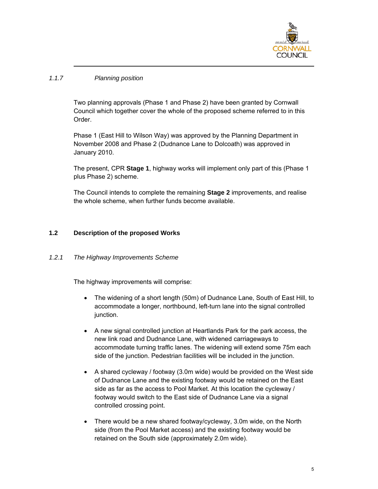

### *1.1.7 Planning position*

Two planning approvals (Phase 1 and Phase 2) have been granted by Cornwall Council which together cover the whole of the proposed scheme referred to in this Order.

Phase 1 (East Hill to Wilson Way) was approved by the Planning Department in November 2008 and Phase 2 (Dudnance Lane to Dolcoath) was approved in January 2010.

The present, CPR **Stage 1**, highway works will implement only part of this (Phase 1 plus Phase 2) scheme.

The Council intends to complete the remaining **Stage 2** improvements, and realise the whole scheme, when further funds become available.

### **1.2 Description of the proposed Works**

### *1.2.1 The Highway Improvements Scheme*

The highway improvements will comprise:

- The widening of a short length (50m) of Dudnance Lane, South of East Hill, to accommodate a longer, northbound, left-turn lane into the signal controlled junction.
- A new signal controlled junction at Heartlands Park for the park access, the new link road and Dudnance Lane, with widened carriageways to accommodate turning traffic lanes. The widening will extend some 75m each side of the junction. Pedestrian facilities will be included in the junction.
- A shared cycleway / footway (3.0m wide) would be provided on the West side of Dudnance Lane and the existing footway would be retained on the East side as far as the access to Pool Market. At this location the cycleway / footway would switch to the East side of Dudnance Lane via a signal controlled crossing point.
- There would be a new shared footway/cycleway, 3.0m wide, on the North side (from the Pool Market access) and the existing footway would be retained on the South side (approximately 2.0m wide).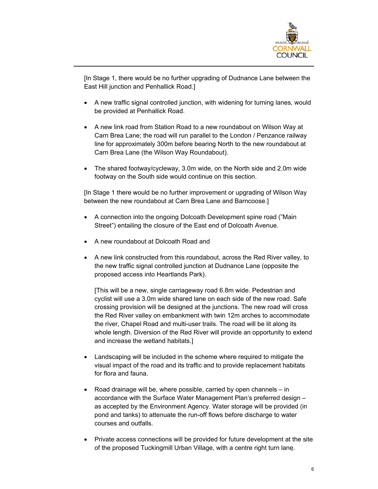

[In Stage 1, there would be no further upgrading of Dudnance Lane between the East Hill junction and Penhallick Road.]

- A new traffic signal controlled junction, with widening for turning lanes, would be provided at Penhallick Road.
- A new link road from Station Road to a new roundabout on Wilson Way at Carn Brea Lane; the road will run parallel to the London / Penzance railway line for approximately 300m before bearing North to the new roundabout at Carn Brea Lane (the Wilson Way Roundabout).
- The shared footway/cycleway, 3.0m wide, on the North side and 2.0m wide footway on the South side would continue on this section.

[In Stage 1 there would be no further improvement or upgrading of Wilson Way between the new roundabout at Carn Brea Lane and Barncoose.]

- A connection into the ongoing Dolcoath Development spine road ("Main Street") entailing the closure of the East end of Dolcoath Avenue.
- A new roundabout at Dolcoath Road and
- A new link constructed from this roundabout, across the Red River valley, to the new traffic signal controlled junction at Dudnance Lane (opposite the proposed access into Heartlands Park).

[This will be a new, single carriageway road 6.8m wide. Pedestrian and cyclist will use a 3.0m wide shared lane on each side of the new road. Safe crossing provision will be designed at the junctions. The new road will cross the Red River valley on embankment with twin 12m arches to accommodate the river, Chapel Road and multi-user trails. The road will be lit along its whole length. Diversion of the Red River will provide an opportunity to extend and increase the wetland habitats.]

- Landscaping will be included in the scheme where required to mitigate the visual impact of the road and its traffic and to provide replacement habitats for flora and fauna.
- Road drainage will be, where possible, carried by open channels in accordance with the Surface Water Management Plan's preferred design – as accepted by the Environment Agency. Water storage will be provided (in pond and tanks) to attenuate the run-off flows before discharge to water courses and outfalls.
- Private access connections will be provided for future development at the site of the proposed Tuckingmill Urban Village, with a centre right turn lane.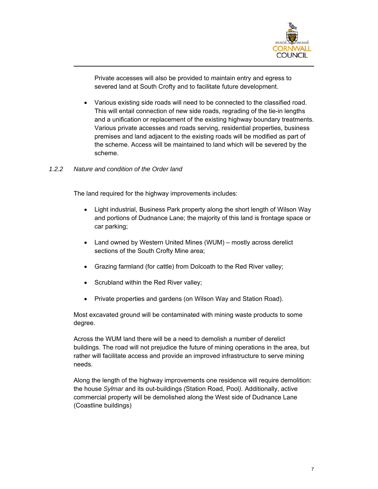

Private accesses will also be provided to maintain entry and egress to severed land at South Crofty and to facilitate future development.

• Various existing side roads will need to be connected to the classified road. This will entail connection of new side roads, regrading of the tie-in lengths and a unification or replacement of the existing highway boundary treatments. Various private accesses and roads serving, residential properties, business premises and land adjacent to the existing roads will be modified as part of the scheme. Access will be maintained to land which will be severed by the scheme.

#### *1.2.2 Nature and condition of the Order land*

The land required for the highway improvements includes:

- Light industrial, Business Park property along the short length of Wilson Way and portions of Dudnance Lane; the majority of this land is frontage space or car parking;
- Land owned by Western United Mines (WUM) mostly across derelict sections of the South Crofty Mine area;
- Grazing farmland (for cattle) from Dolcoath to the Red River valley;
- Scrubland within the Red River valley;
- Private properties and gardens (on Wilson Way and Station Road).

Most excavated ground will be contaminated with mining waste products to some degree.

Across the WUM land there will be a need to demolish a number of derelict buildings. The road will not prejudice the future of mining operations in the area, but rather will facilitate access and provide an improved infrastructure to serve mining needs.

Along the length of the highway improvements one residence will require demolition: the house *Sylmar* and its out-buildings *(*Station Road, Pool*).* Additionally, active commercial property will be demolished along the West side of Dudnance Lane (Coastline buildings)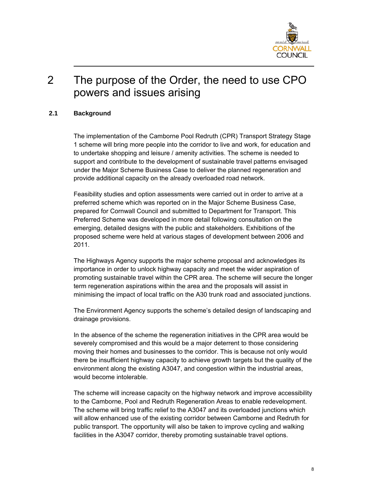

### 2 The purpose of the Order, the need to use CPO powers and issues arising

### **2.1 Background**

The implementation of the Camborne Pool Redruth (CPR) Transport Strategy Stage 1 scheme will bring more people into the corridor to live and work, for education and to undertake shopping and leisure / amenity activities. The scheme is needed to support and contribute to the development of sustainable travel patterns envisaged under the Major Scheme Business Case to deliver the planned regeneration and provide additional capacity on the already overloaded road network.

Feasibility studies and option assessments were carried out in order to arrive at a preferred scheme which was reported on in the Major Scheme Business Case, prepared for Cornwall Council and submitted to Department for Transport. This Preferred Scheme was developed in more detail following consultation on the emerging, detailed designs with the public and stakeholders. Exhibitions of the proposed scheme were held at various stages of development between 2006 and 2011.

The Highways Agency supports the major scheme proposal and acknowledges its importance in order to unlock highway capacity and meet the wider aspiration of promoting sustainable travel within the CPR area. The scheme will secure the longer term regeneration aspirations within the area and the proposals will assist in minimising the impact of local traffic on the A30 trunk road and associated junctions.

The Environment Agency supports the scheme's detailed design of landscaping and drainage provisions.

In the absence of the scheme the regeneration initiatives in the CPR area would be severely compromised and this would be a major deterrent to those considering moving their homes and businesses to the corridor. This is because not only would there be insufficient highway capacity to achieve growth targets but the quality of the environment along the existing A3047, and congestion within the industrial areas, would become intolerable.

The scheme will increase capacity on the highway network and improve accessibility to the Camborne, Pool and Redruth Regeneration Areas to enable redevelopment. The scheme will bring traffic relief to the A3047 and its overloaded junctions which will allow enhanced use of the existing corridor between Camborne and Redruth for public transport. The opportunity will also be taken to improve cycling and walking facilities in the A3047 corridor, thereby promoting sustainable travel options.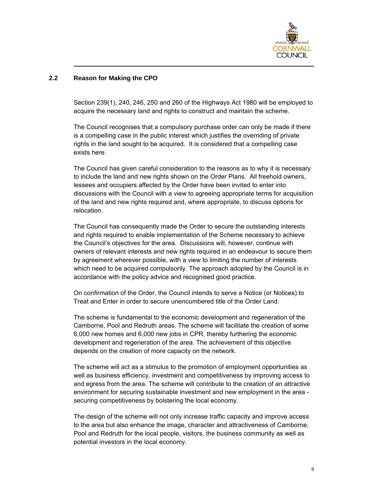

### **2.2 Reason for Making the CPO**

Section 239(1), 240, 246, 250 and 260 of the Highways Act 1980 will be employed to acquire the necessary land and rights to construct and maintain the scheme.

The Council recognises that a compulsory purchase order can only be made if there is a compelling case in the public interest which justifies the overriding of private rights in the land sought to be acquired. It is considered that a compelling case exists here.

The Council has given careful consideration to the reasons as to why it is necessary to include the land and new rights shown on the Order Plans. All freehold owners, lessees and occupiers affected by the Order have been invited to enter into discussions with the Council with a view to agreeing appropriate terms for acquisition of the land and new rights required and, where appropriate, to discuss options for relocation.

The Council has consequently made the Order to secure the outstanding interests and rights required to enable implementation of the Scheme necessary to achieve the Council's objectives for the area. Discussions will, however, continue with owners of relevant interests and new rights required in an endeavour to secure them by agreement wherever possible, with a view to limiting the number of interests which need to be acquired compulsorily. The approach adopted by the Council is in accordance with the policy advice and recognised good practice.

On confirmation of the Order, the Council intends to serve a Notice (or Notices) to Treat and Enter in order to secure unencumbered title of the Order Land.

The scheme is fundamental to the economic development and regeneration of the Camborne, Pool and Redruth areas. The scheme will facilitate the creation of some 6,000 new homes and 6,000 new jobs in CPR, thereby furthering the economic development and regeneration of the area. The achievement of this objective depends on the creation of more capacity on the network.

The scheme will act as a stimulus to the promotion of employment opportunities as well as business efficiency, investment and competitiveness by improving access to and egress from the area. The scheme will contribute to the creation of an attractive environment for securing sustainable investment and new employment in the area securing competitiveness by bolstering the local economy.

The design of the scheme will not only increase traffic capacity and improve access to the area but also enhance the image, character and attractiveness of Camborne, Pool and Redruth for the local people, visitors, the business community as well as potential investors in the local economy.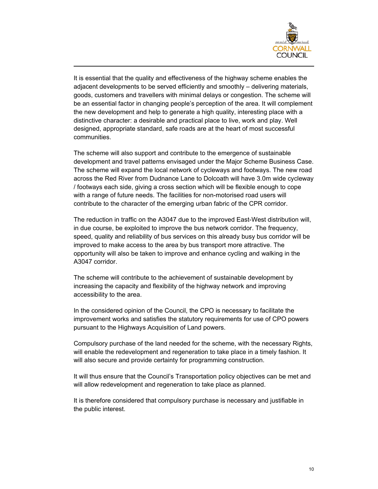

It is essential that the quality and effectiveness of the highway scheme enables the adjacent developments to be served efficiently and smoothly – delivering materials, goods, customers and travellers with minimal delays or congestion. The scheme will be an essential factor in changing people's perception of the area. It will complement the new development and help to generate a high quality, interesting place with a distinctive character: a desirable and practical place to live, work and play. Well designed, appropriate standard, safe roads are at the heart of most successful communities.

The scheme will also support and contribute to the emergence of sustainable development and travel patterns envisaged under the Major Scheme Business Case. The scheme will expand the local network of cycleways and footways. The new road across the Red River from Dudnance Lane to Dolcoath will have 3.0m wide cycleway / footways each side, giving a cross section which will be flexible enough to cope with a range of future needs. The facilities for non-motorised road users will contribute to the character of the emerging urban fabric of the CPR corridor.

The reduction in traffic on the A3047 due to the improved East-West distribution will, in due course, be exploited to improve the bus network corridor. The frequency, speed, quality and reliability of bus services on this already busy bus corridor will be improved to make access to the area by bus transport more attractive. The opportunity will also be taken to improve and enhance cycling and walking in the A3047 corridor.

The scheme will contribute to the achievement of sustainable development by increasing the capacity and flexibility of the highway network and improving accessibility to the area.

In the considered opinion of the Council, the CPO is necessary to facilitate the improvement works and satisfies the statutory requirements for use of CPO powers pursuant to the Highways Acquisition of Land powers.

Compulsory purchase of the land needed for the scheme, with the necessary Rights, will enable the redevelopment and regeneration to take place in a timely fashion. It will also secure and provide certainty for programming construction.

It will thus ensure that the Council's Transportation policy objectives can be met and will allow redevelopment and regeneration to take place as planned.

It is therefore considered that compulsory purchase is necessary and justifiable in the public interest.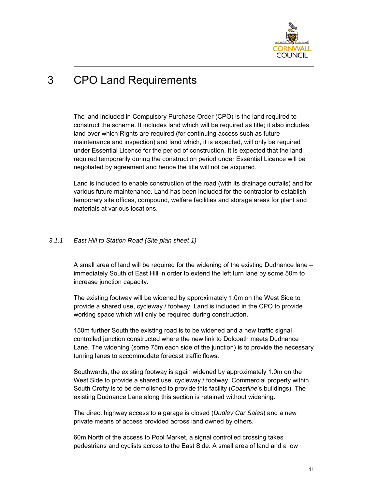

## 3 CPO Land Requirements

The land included in Compulsory Purchase Order (CPO) is the land required to construct the scheme. It includes land which will be required as title; it also includes land over which Rights are required (for continuing access such as future maintenance and inspection) and land which, it is expected, will only be required under Essential Licence for the period of construction. It is expected that the land required temporarily during the construction period under Essential Licence will be negotiated by agreement and hence the title will not be acquired.

Land is included to enable construction of the road (with its drainage outfalls) and for various future maintenance. Land has been included for the contractor to establish temporary site offices, compound, welfare facilities and storage areas for plant and materials at various locations.

#### *3.1.1 East Hill to Station Road (Site plan sheet 1)*

A small area of land will be required for the widening of the existing Dudnance lane – immediately South of East Hill in order to extend the left turn lane by some 50m to increase junction capacity.

The existing footway will be widened by approximately 1.0m on the West Side to provide a shared use, cycleway / footway. Land is included in the CPO to provide working space which will only be required during construction.

150m further South the existing road is to be widened and a new traffic signal controlled junction constructed where the new link to Dolcoath meets Dudnance Lane. The widening (some 75m each side of the junction) is to provide the necessary turning lanes to accommodate forecast traffic flows.

Southwards, the existing footway is again widened by approximately 1.0m on the West Side to provide a shared use, cycleway / footway. Commercial property within South Crofty is to be demolished to provide this facility (*Coastline*'s buildings). The existing Dudnance Lane along this section is retained without widening.

The direct highway access to a garage is closed (*Dudley Car Sales*) and a new private means of access provided across land owned by others.

60m North of the access to Pool Market, a signal controlled crossing takes pedestrians and cyclists across to the East Side. A small area of land and a low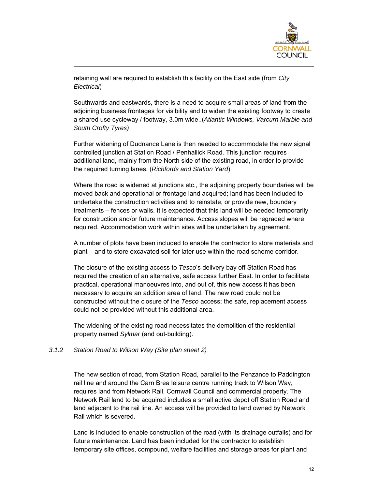

retaining wall are required to establish this facility on the East side (from *City Electrical*)

Southwards and eastwards, there is a need to acquire small areas of land from the adjoining business frontages for visibility and to widen the existing footway to create a shared use cycleway / footway, 3.0m wide..(*Atlantic Windows, Varcurn Marble and South Crofty Tyres)*

Further widening of Dudnance Lane is then needed to accommodate the new signal controlled junction at Station Road / Penhallick Road. This junction requires additional land, mainly from the North side of the existing road, in order to provide the required turning lanes. (*Richfords and Station Yard*)

Where the road is widened at junctions etc., the adjoining property boundaries will be moved back and operational or frontage land acquired; land has been included to undertake the construction activities and to reinstate, or provide new, boundary treatments – fences or walls. It is expected that this land will be needed temporarily for construction and/or future maintenance. Access slopes will be regraded where required. Accommodation work within sites will be undertaken by agreement.

A number of plots have been included to enable the contractor to store materials and plant – and to store excavated soil for later use within the road scheme corridor.

The closure of the existing access to *Tesco*'s delivery bay off Station Road has required the creation of an alternative, safe access further East. In order to facilitate practical, operational manoeuvres into, and out of, this new access it has been necessary to acquire an addition area of land. The new road could not be constructed without the closure of the *Tesco* access; the safe, replacement access could not be provided without this additional area.

The widening of the existing road necessitates the demolition of the residential property named *Sylmar* (and out-building).

#### *3.1.2 Station Road to Wilson Way (Site plan sheet 2)*

The new section of road, from Station Road, parallel to the Penzance to Paddington rail line and around the Carn Brea leisure centre running track to Wilson Way, requires land from Network Rail, Cornwall Council and commercial property. The Network Rail land to be acquired includes a small active depot off Station Road and land adjacent to the rail line. An access will be provided to land owned by Network Rail which is severed.

Land is included to enable construction of the road (with its drainage outfalls) and for future maintenance. Land has been included for the contractor to establish temporary site offices, compound, welfare facilities and storage areas for plant and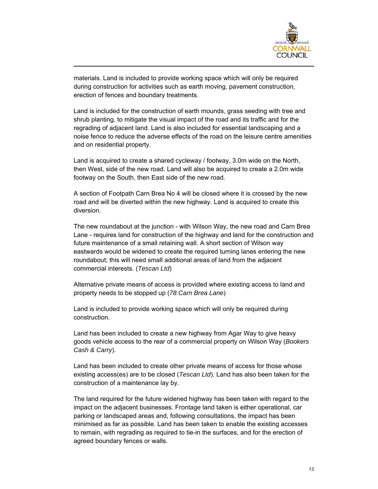

materials. Land is included to provide working space which will only be required during construction for activities such as earth moving, pavement construction, erection of fences and boundary treatments.

Land is included for the construction of earth mounds, grass seeding with tree and shrub planting, to mitigate the visual impact of the road and its traffic and for the regrading of adjacent land. Land is also included for essential landscaping and a noise fence to reduce the adverse effects of the road on the leisure centre amenities and on residential property.

Land is acquired to create a shared cycleway / footway, 3.0m wide on the North, then West, side of the new road. Land will also be acquired to create a 2.0m wide footway on the South, then East side of the new road.

A section of Footpath Carn Brea No 4 will be closed where it is crossed by the new road and will be diverted within the new highway. Land is acquired to create this diversion.

The new roundabout at the junction - with Wilson Way, the new road and Carn Brea Lane - requires land for construction of the highway and land for the construction and future maintenance of a small retaining wall. A short section of Wilson way eastwards would be widened to create the required turning lanes entering the new roundabout; this will need small additional areas of land from the adjacent commercial interests. (*Tescan Ltd*)

Alternative private means of access is provided where existing access to land and property needs to be stopped up (*78 Carn Brea Lane*)

Land is included to provide working space which will only be required during construction.

Land has been included to create a new highway from Agar Way to give heavy goods vehicle access to the rear of a commercial property on Wilson Way (*Bookers Cash & Carry*).

Land has been included to create other private means of access for those whose existing access(es) are to be closed (*Tescan Ltd*). Land has also been taken for the construction of a maintenance lay by.

The land required for the future widened highway has been taken with regard to the impact on the adjacent businesses. Frontage land taken is either operational, car parking or landscaped areas and, following consultations, the impact has been minimised as far as possible. Land has been taken to enable the existing accesses to remain, with regrading as required to tie-in the surfaces, and for the erection of agreed boundary fences or walls.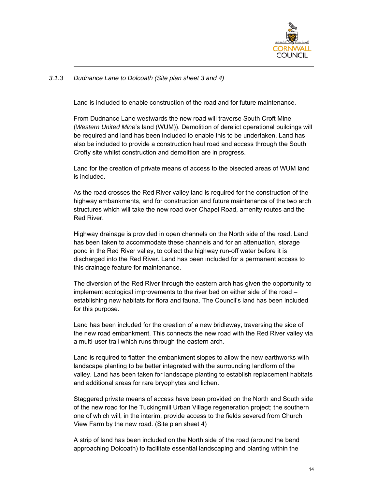

### *3.1.3 Dudnance Lane to Dolcoath (Site plan sheet 3 and 4)*

Land is included to enable construction of the road and for future maintenance.

From Dudnance Lane westwards the new road will traverse South Croft Mine (*Western United Mine*'s land (WUM)). Demolition of derelict operational buildings will be required and land has been included to enable this to be undertaken. Land has also be included to provide a construction haul road and access through the South Crofty site whilst construction and demolition are in progress.

Land for the creation of private means of access to the bisected areas of WUM land is included.

As the road crosses the Red River valley land is required for the construction of the highway embankments, and for construction and future maintenance of the two arch structures which will take the new road over Chapel Road, amenity routes and the Red River.

Highway drainage is provided in open channels on the North side of the road. Land has been taken to accommodate these channels and for an attenuation, storage pond in the Red River valley, to collect the highway run-off water before it is discharged into the Red River. Land has been included for a permanent access to this drainage feature for maintenance.

The diversion of the Red River through the eastern arch has given the opportunity to implement ecological improvements to the river bed on either side of the road – establishing new habitats for flora and fauna. The Council's land has been included for this purpose.

Land has been included for the creation of a new bridleway, traversing the side of the new road embankment. This connects the new road with the Red River valley via a multi-user trail which runs through the eastern arch.

Land is required to flatten the embankment slopes to allow the new earthworks with landscape planting to be better integrated with the surrounding landform of the valley. Land has been taken for landscape planting to establish replacement habitats and additional areas for rare bryophytes and lichen.

Staggered private means of access have been provided on the North and South side of the new road for the Tuckingmill Urban Village regeneration project; the southern one of which will, in the interim, provide access to the fields severed from Church View Farm by the new road. (Site plan sheet 4)

A strip of land has been included on the North side of the road (around the bend approaching Dolcoath) to facilitate essential landscaping and planting within the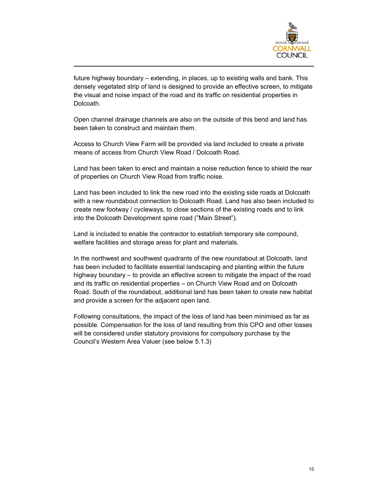

future highway boundary – extending, in places, up to existing walls and bank. This densely vegetated strip of land is designed to provide an effective screen, to mitigate the visual and noise impact of the road and its traffic on residential properties in Dolcoath.

Open channel drainage channels are also on the outside of this bend and land has been taken to construct and maintain them.

Access to Church View Farm will be provided via land included to create a private means of access from Church View Road / Dolcoath Road.

Land has been taken to erect and maintain a noise reduction fence to shield the rear of properties on Church View Road from traffic noise.

Land has been included to link the new road into the existing side roads at Dolcoath with a new roundabout connection to Dolcoath Road. Land has also been included to create new footway / cycleways, to close sections of the existing roads and to link into the Dolcoath Development spine road ("Main Street").

Land is included to enable the contractor to establish temporary site compound, welfare facilities and storage areas for plant and materials.

In the northwest and southwest quadrants of the new roundabout at Dolcoath, land has been included to facilitate essential landscaping and planting within the future highway boundary – to provide an effective screen to mitigate the impact of the road and its traffic on residential properties – on Church View Road and on Dolcoath Road. South of the roundabout, additional land has been taken to create new habitat and provide a screen for the adjacent open land.

Following consultations, the impact of the loss of land has been minimised as far as possible. Compensation for the loss of land resulting from this CPO and other losses will be considered under statutory provisions for compulsory purchase by the Council's Western Area Valuer (see below 5.1.3)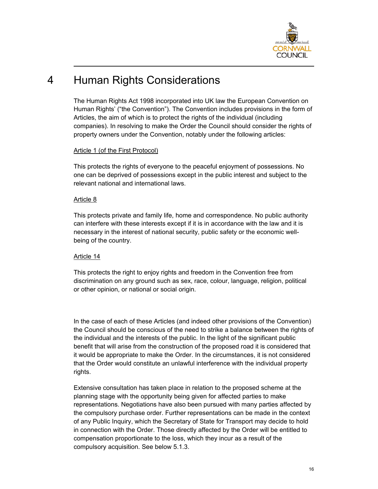

## 4 Human Rights Considerations

The Human Rights Act 1998 incorporated into UK law the European Convention on Human Rights' ("the Convention"). The Convention includes provisions in the form of Articles, the aim of which is to protect the rights of the individual (including companies). In resolving to make the Order the Council should consider the rights of property owners under the Convention, notably under the following articles:

### Article 1 (of the First Protocol)

This protects the rights of everyone to the peaceful enjoyment of possessions. No one can be deprived of possessions except in the public interest and subject to the relevant national and international laws.

### Article 8

This protects private and family life, home and correspondence. No public authority can interfere with these interests except if it is in accordance with the law and it is necessary in the interest of national security, public safety or the economic wellbeing of the country.

### Article 14

This protects the right to enjoy rights and freedom in the Convention free from discrimination on any ground such as sex, race, colour, language, religion, political or other opinion, or national or social origin.

In the case of each of these Articles (and indeed other provisions of the Convention) the Council should be conscious of the need to strike a balance between the rights of the individual and the interests of the public. In the light of the significant public benefit that will arise from the construction of the proposed road it is considered that it would be appropriate to make the Order. In the circumstances, it is not considered that the Order would constitute an unlawful interference with the individual property rights.

Extensive consultation has taken place in relation to the proposed scheme at the planning stage with the opportunity being given for affected parties to make representations. Negotiations have also been pursued with many parties affected by the compulsory purchase order. Further representations can be made in the context of any Public Inquiry, which the Secretary of State for Transport may decide to hold in connection with the Order. Those directly affected by the Order will be entitled to compensation proportionate to the loss, which they incur as a result of the compulsory acquisition. See below 5.1.3.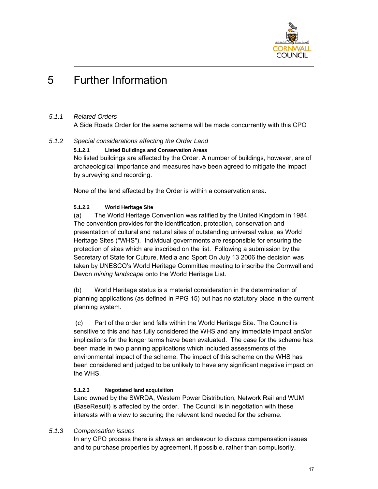

## 5 Further Information

### *5.1.1 Related Orders*

A Side Roads Order for the same scheme will be made concurrently with this CPO

### *5.1.2 Special considerations affecting the Order Land*

**5.1.2.1 Listed Buildings and Conservation Areas** 

No listed buildings are affected by the Order. A number of buildings, however, are of archaeological importance and measures have been agreed to mitigate the impact by surveying and recording.

None of the land affected by the Order is within a conservation area.

### **5.1.2.2 World Heritage Site**

(a) The World Heritage Convention was ratified by the United Kingdom in 1984. The convention provides for the identification, protection, conservation and presentation of cultural and natural sites of outstanding universal value, as World Heritage Sites ("WHS"). Individual governments are responsible for ensuring the protection of sites which are inscribed on the list. Following a submission by the Secretary of State for Culture, Media and Sport On July 13 2006 the decision was taken by UNESCO's World Heritage Committee meeting to inscribe the Cornwall and Devon *mining landscape* onto the World Heritage List.

(b) World Heritage status is a material consideration in the determination of planning applications (as defined in PPG 15) but has no statutory place in the current planning system.

 (c) Part of the order land falls within the World Heritage Site. The Council is sensitive to this and has fully considered the WHS and any immediate impact and/or implications for the longer terms have been evaluated. The case for the scheme has been made in two planning applications which included assessments of the environmental impact of the scheme. The impact of this scheme on the WHS has been considered and judged to be unlikely to have any significant negative impact on the WHS.

### **5.1.2.3 Negotiated land acquisition**

Land owned by the SWRDA, Western Power Distribution, Network Rail and WUM (BaseResult) is affected by the order. The Council is in negotiation with these interests with a view to securing the relevant land needed for the scheme.

#### *5.1.3 Compensation issues*

In any CPO process there is always an endeavour to discuss compensation issues and to purchase properties by agreement, if possible, rather than compulsorily.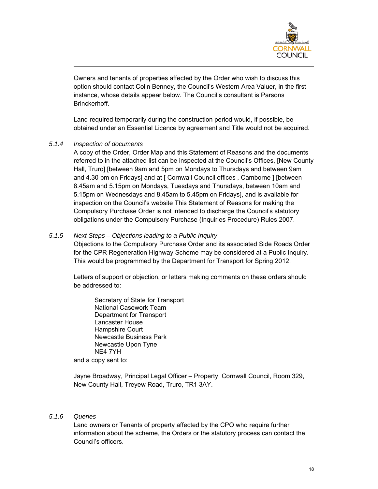

Owners and tenants of properties affected by the Order who wish to discuss this option should contact Colin Benney, the Council's Western Area Valuer, in the first instance, whose details appear below. The Council's consultant is Parsons **Brinckerhoff** 

Land required temporarily during the construction period would, if possible, be obtained under an Essential Licence by agreement and Title would not be acquired.

### *5.1.4 Inspection of documents*

A copy of the Order, Order Map and this Statement of Reasons and the documents referred to in the attached list can be inspected at the Council's Offices, [New County Hall, Truro] [between 9am and 5pm on Mondays to Thursdays and between 9am and 4.30 pm on Fridays] and at [ Cornwall Council offices , Camborne ] [between 8.45am and 5.15pm on Mondays, Tuesdays and Thursdays, between 10am and 5.15pm on Wednesdays and 8.45am to 5.45pm on Fridays], and is available for inspection on the Council's website This Statement of Reasons for making the Compulsory Purchase Order is not intended to discharge the Council's statutory obligations under the Compulsory Purchase (Inquiries Procedure) Rules 2007.

### *5.1.5 Next Steps – Objections leading to a Public Inquiry*

Objections to the Compulsory Purchase Order and its associated Side Roads Order for the CPR Regeneration Highway Scheme may be considered at a Public Inquiry. This would be programmed by the Department for Transport for Spring 2012.

Letters of support or objection, or letters making comments on these orders should be addressed to:

Secretary of State for Transport National Casework Team Department for Transport Lancaster House Hampshire Court Newcastle Business Park Newcastle Upon Tyne NE4 7YH and a copy sent to:

Jayne Broadway, Principal Legal Officer – Property, Cornwall Council, Room 329, New County Hall, Treyew Road, Truro, TR1 3AY.

### *5.1.6 Queries*

Land owners or Tenants of property affected by the CPO who require further information about the scheme, the Orders or the statutory process can contact the Council's officers.